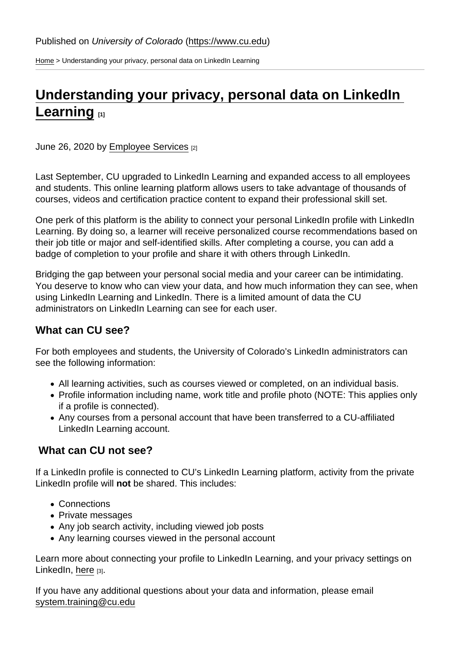[Home](https://www.cu.edu/) > Understanding your privacy, personal data on LinkedIn Learning

## [Understanding your privacy, personal data on LinkedIn](https://www.cu.edu/blog/work-life/understanding-your-privacy-personal-data-linkedin-learning)  [Learning](https://www.cu.edu/blog/work-life/understanding-your-privacy-personal-data-linkedin-learning) [1]

## June 26, 2020 by [Employee Services](https://www.cu.edu/blog/work-life/author/9230) [2]

Last September, CU upgraded to LinkedIn Learning and expanded access to all employees and students. This online learning platform allows users to take advantage of thousands of courses, videos and certification practice content to expand their professional skill set.

One perk of this platform is the ability to connect your personal LinkedIn profile with LinkedIn Learning. By doing so, a learner will receive personalized course recommendations based on their job title or major and self-identified skills. After completing a course, you can add a badge of completion to your profile and share it with others through LinkedIn.

Bridging the gap between your personal social media and your career can be intimidating. You deserve to know who can view your data, and how much information they can see, when using LinkedIn Learning and LinkedIn. There is a limited amount of data the CU administrators on LinkedIn Learning can see for each user.

## What can CU see?

For both employees and students, the University of Colorado's LinkedIn administrators can see the following information:

- All learning activities, such as courses viewed or completed, on an individual basis.
- Profile information including name, work title and profile photo (NOTE: This applies only if a profile is connected).
- Any courses from a personal account that have been transferred to a CU-affiliated LinkedIn Learning account.

## What can CU not see?

If a LinkedIn profile is connected to CU's LinkedIn Learning platform, activity from the private LinkedIn profile will not be shared. This includes:

- Connections
- Private messages
- Any job search activity, including viewed job posts
- Any learning courses viewed in the personal account

Learn more about connecting your profile to LinkedIn Learning, and your privacy settings on LinkedIn, [here](https://www.linkedin.com/legal/privacy-policy) [3].

If you have any additional questions about your data and information, please email [system.training@cu.edu](mailto:system.training@cu.edu)